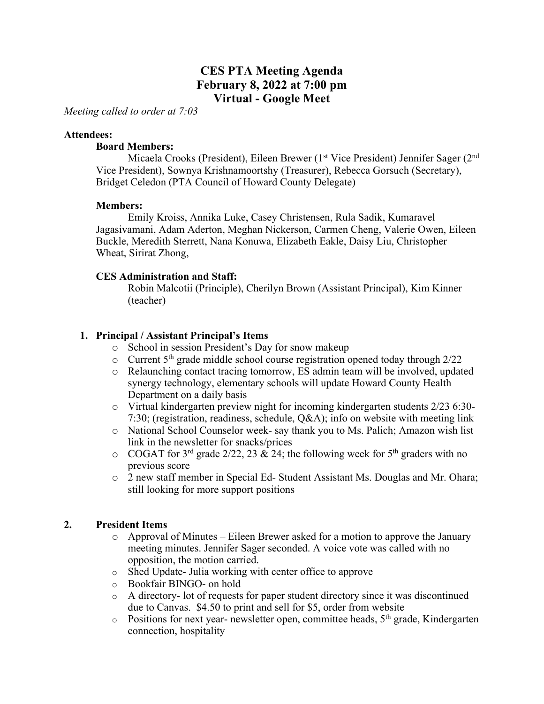# **CES PTA Meeting Agenda February 8, 2022 at 7:00 pm Virtual - Google Meet**

*Meeting called to order at 7:03*

#### **Attendees:**

#### **Board Members:**

Micaela Crooks (President), Eileen Brewer (1<sup>st</sup> Vice President) Jennifer Sager (2<sup>nd</sup> Vice President), Sownya Krishnamoortshy (Treasurer), Rebecca Gorsuch (Secretary), Bridget Celedon (PTA Council of Howard County Delegate)

## **Members:**

Emily Kroiss, Annika Luke, Casey Christensen, Rula Sadik, Kumaravel Jagasivamani, Adam Aderton, Meghan Nickerson, Carmen Cheng, Valerie Owen, Eileen Buckle, Meredith Sterrett, Nana Konuwa, Elizabeth Eakle, Daisy Liu, Christopher Wheat, Sirirat Zhong,

## **CES Administration and Staff:**

Robin Malcotii (Principle), Cherilyn Brown (Assistant Principal), Kim Kinner (teacher)

## **1. Principal / Assistant Principal's Items**

- o School in session President's Day for snow makeup
- $\circ$  Current 5<sup>th</sup> grade middle school course registration opened today through 2/22
- o Relaunching contact tracing tomorrow, ES admin team will be involved, updated synergy technology, elementary schools will update Howard County Health Department on a daily basis
- o Virtual kindergarten preview night for incoming kindergarten students 2/23 6:30- 7:30; (registration, readiness, schedule, Q&A); info on website with meeting link
- o National School Counselor week- say thank you to Ms. Palich; Amazon wish list link in the newsletter for snacks/prices
- $\circ$  COGAT for 3<sup>rd</sup> grade 2/22, 23 & 24; the following week for 5<sup>th</sup> graders with no previous score
- o 2 new staff member in Special Ed- Student Assistant Ms. Douglas and Mr. Ohara; still looking for more support positions

## **2. President Items**

- $\circ$  Approval of Minutes Eileen Brewer asked for a motion to approve the January meeting minutes. Jennifer Sager seconded. A voice vote was called with no opposition, the motion carried.
- o Shed Update- Julia working with center office to approve
- o Bookfair BINGO- on hold
- $\circ$  A directory- lot of requests for paper student directory since it was discontinued due to Canvas. \$4.50 to print and sell for \$5, order from website
- $\circ$  Positions for next year- newsletter open, committee heads,  $5<sup>th</sup>$  grade, Kindergarten connection, hospitality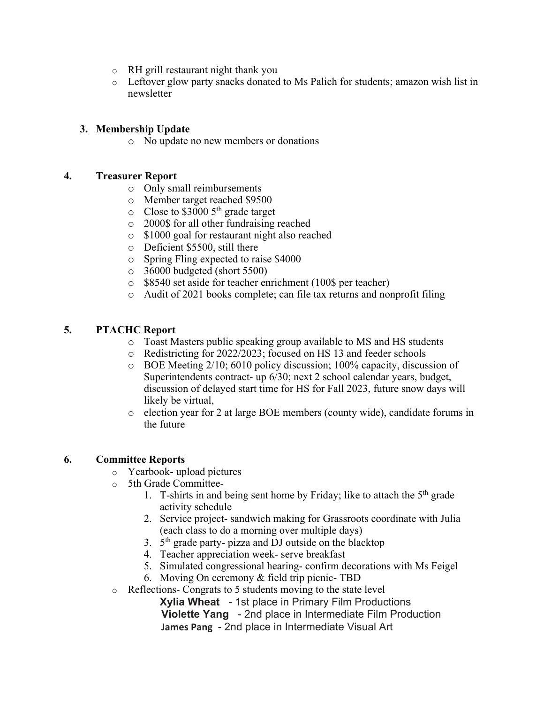- o RH grill restaurant night thank you
- o Leftover glow party snacks donated to Ms Palich for students; amazon wish list in newsletter

# **3. Membership Update**

o No update no new members or donations

## **4. Treasurer Report**

- o Only small reimbursements
- o Member target reached \$9500
- $\circ$  Close to \$3000 5<sup>th</sup> grade target
- o 2000\$ for all other fundraising reached
- o \$1000 goal for restaurant night also reached
- o Deficient \$5500, still there
- o Spring Fling expected to raise \$4000
- o 36000 budgeted (short 5500)
- o \$8540 set aside for teacher enrichment (100\$ per teacher)
- o Audit of 2021 books complete; can file tax returns and nonprofit filing

# **5. PTACHC Report**

- o Toast Masters public speaking group available to MS and HS students
- o Redistricting for 2022/2023; focused on HS 13 and feeder schools
- o BOE Meeting 2/10; 6010 policy discussion; 100% capacity, discussion of Superintendents contract- up 6/30; next 2 school calendar years, budget, discussion of delayed start time for HS for Fall 2023, future snow days will likely be virtual,
- o election year for 2 at large BOE members (county wide), candidate forums in the future

## **6. Committee Reports**

- o Yearbook- upload pictures
- o 5th Grade Committee-
	- 1. T-shirts in and being sent home by Friday; like to attach the  $5<sup>th</sup>$  grade activity schedule
	- 2. Service project- sandwich making for Grassroots coordinate with Julia (each class to do a morning over multiple days)
	- 3.  $5<sup>th</sup>$  grade party- pizza and DJ outside on the blacktop
	- 4. Teacher appreciation week- serve breakfast
	- 5. Simulated congressional hearing- confirm decorations with Ms Feigel
	- 6. Moving On ceremony & field trip picnic- TBD
- o Reflections- Congrats to 5 students moving to the state level

**Xylia Wheat** - 1st place in Primary Film Productions **Violette Yang** - 2nd place in Intermediate Film Production **James Pang** - 2nd place in Intermediate Visual Art